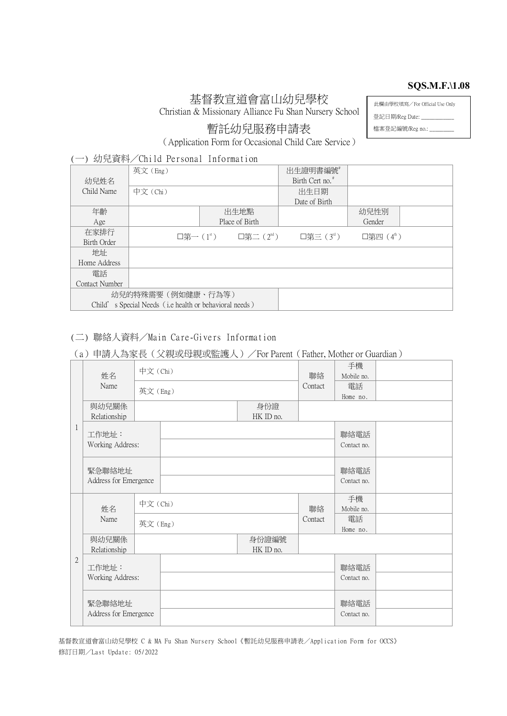#### **SQS.M.F.\1.08**

# 基督教宣道會富山幼兒學校

Christian & Missionary Alliance Fu Shan Nursery School

此欄由學校填寫/For Official Use Only

登記日期/Reg Date: \_\_\_ 檔案登記編號/Reg no.: \_\_\_\_\_\_\_\_\_

暫託幼兒服務申請表

(Application Form for Occasional Child Care Service)

## (一) 幼兒資料/Child Personal Information

|                                                        | 英文(Eng) |                                                                 | 出生證明書編號                     |             |  |
|--------------------------------------------------------|---------|-----------------------------------------------------------------|-----------------------------|-------------|--|
| 幼兒姓名                                                   |         |                                                                 | Birth Cert no. <sup>#</sup> |             |  |
| Child Name                                             | 中文(Chi) |                                                                 | 出生日期                        |             |  |
|                                                        |         |                                                                 | Date of Birth               |             |  |
| 年齡                                                     |         | 出生地點                                                            |                             | 幼兒性別        |  |
| Age                                                    |         | Place of Birth                                                  |                             | Gender      |  |
| 在家排行                                                   |         | $\square$ 第一( $1^{\text{st}}$ ) $\square$ 第二( $2^{\text{nd}}$ ) | 口第三 $(3rd)$                 | 口第四 $(4^h)$ |  |
| Birth Order                                            |         |                                                                 |                             |             |  |
| 地址                                                     |         |                                                                 |                             |             |  |
| Home Address                                           |         |                                                                 |                             |             |  |
| 雷話                                                     |         |                                                                 |                             |             |  |
| Contact Number                                         |         |                                                                 |                             |             |  |
| 幼兒的特殊需要 (例如健康、行為等)                                     |         |                                                                 |                             |             |  |
| Child's Special Needs (i.e health or behavioral needs) |         |                                                                 |                             |             |  |

## (二)聯絡人資料/Main Care-GiversInformation

# (a)申請人為家長(父親或母親或監護人)/For Parent(Father, Mother or Guardian)

| $\mathbf{1}$ | 姓名<br>Name                      | 中文(Chi) |               | 聯絡                 | 手機<br>Mobile no.    |                     |  |
|--------------|---------------------------------|---------|---------------|--------------------|---------------------|---------------------|--|
|              |                                 |         | 英文(Eng)       |                    | Contact             | 電話<br>Home no.      |  |
|              | 與幼兒關係<br>Relationship           |         |               | 身份證<br>HK ID no.   |                     |                     |  |
|              | 工作地址:<br>Working Address:       |         |               |                    | 聯絡電話<br>Contact no. |                     |  |
|              | 緊急聯絡地址<br>Address for Emergence |         |               |                    |                     | 聯絡電話<br>Contact no. |  |
| $\mathbf{2}$ | 姓名                              |         | 中文(Chi)<br>聯絡 |                    |                     | 手機<br>Mobile no.    |  |
|              | Name                            |         | 英文(Eng)       |                    | Contact             | 電話<br>Home no.      |  |
|              | 與幼兒關係<br>Relationship           |         |               | 身份證編號<br>HK ID no. |                     |                     |  |
|              | 工作地址:<br>Working Address:       |         |               |                    |                     | 聯絡電話<br>Contact no. |  |
|              | 緊急聯絡地址<br>Address for Emergence |         |               |                    |                     | 聯絡電話<br>Contact no. |  |

基督教宣道會富山幼兒學校 C & MA Fu Shan Nursery School《暫託幼兒服務申請表/Application Form for OCCS》 修訂日期/Last Update: 05/2022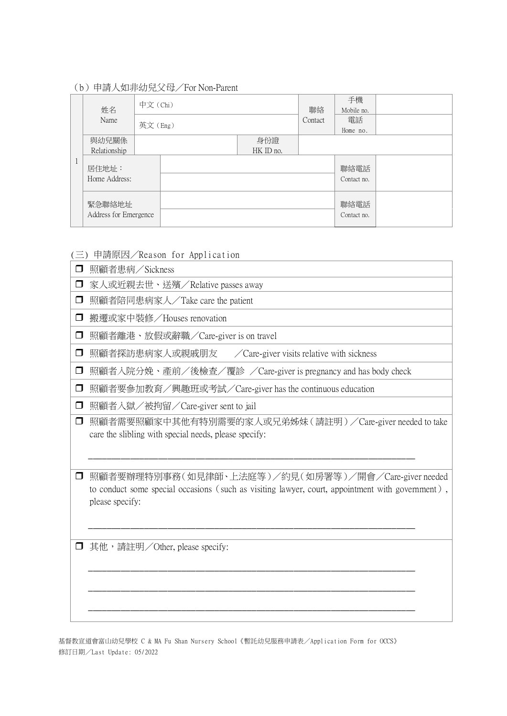(b)申請人如非幼兒父母/For Non-Parent

| 姓名<br>Name                      |                        | 中文 (Chi) |  | 聯絡<br>Contact | 手機<br>Mobile no.    |                     |  |
|---------------------------------|------------------------|----------|--|---------------|---------------------|---------------------|--|
|                                 |                        | 英文(Eng)  |  |               | 電話                  |                     |  |
|                                 |                        |          |  |               |                     | Home no.            |  |
|                                 | 與幼兒關係                  |          |  | 身份證           |                     |                     |  |
|                                 | Relationship           |          |  | HK ID no.     |                     |                     |  |
|                                 | 居住地址:<br>Home Address: |          |  |               |                     | 聯絡電話<br>Contact no. |  |
| 緊急聯絡地址<br>Address for Emergence |                        |          |  |               | 聯絡電話<br>Contact no. |                     |  |

Ī.

(三)申請原因/Reason for Application

| $\Box$ | 照顧者患病/Sickness                                                                                                                                                                                              |
|--------|-------------------------------------------------------------------------------------------------------------------------------------------------------------------------------------------------------------|
| □      | 家人或近親去世、送殯/Relative passes away                                                                                                                                                                             |
| □      | 照顧者陪同患病家人/Take care the patient                                                                                                                                                                             |
| □      | 搬遷或家中裝修/Houses renovation                                                                                                                                                                                   |
| □      | 照顧者離港、放假或辭職/Care-giver is on travel                                                                                                                                                                         |
| □      | 照顧者探訪患病家人或親戚朋友<br>$\angle$ Care-giver visits relative with sickness                                                                                                                                         |
| □      | 照顧者入院分娩、產前/後檢查/覆診 /Care-giver is pregnancy and has body check                                                                                                                                               |
| $\Box$ | 照顧者要參加教育/興趣班或考試/Care-giver has the continuous education                                                                                                                                                     |
| $\Box$ | 照顧者入獄/被拘留/Care-giver sent to jail                                                                                                                                                                           |
| □      | 照顧者需要照顧家中其他有特別需要的家人或兄弟姊妹(請註明)/Care-giver needed to take<br>care the slibling with special needs, please specify:                                                                                            |
| □<br>□ | 照顧者要辦理特別事務(如見律師、上法庭等)/約見(如房署等)/開會/Care-giver needed<br>to conduct some special occasions (such as visiting lawyer, court, appointment with government),<br>please specify:<br>其他,請註明/Other, please specify: |
|        |                                                                                                                                                                                                             |

基督教宣道會富山幼兒學校 C & MA Fu Shan Nursery School《暫託幼兒服務申請表/Application Form for OCCS》 修訂日期/Last Update: 05/2022